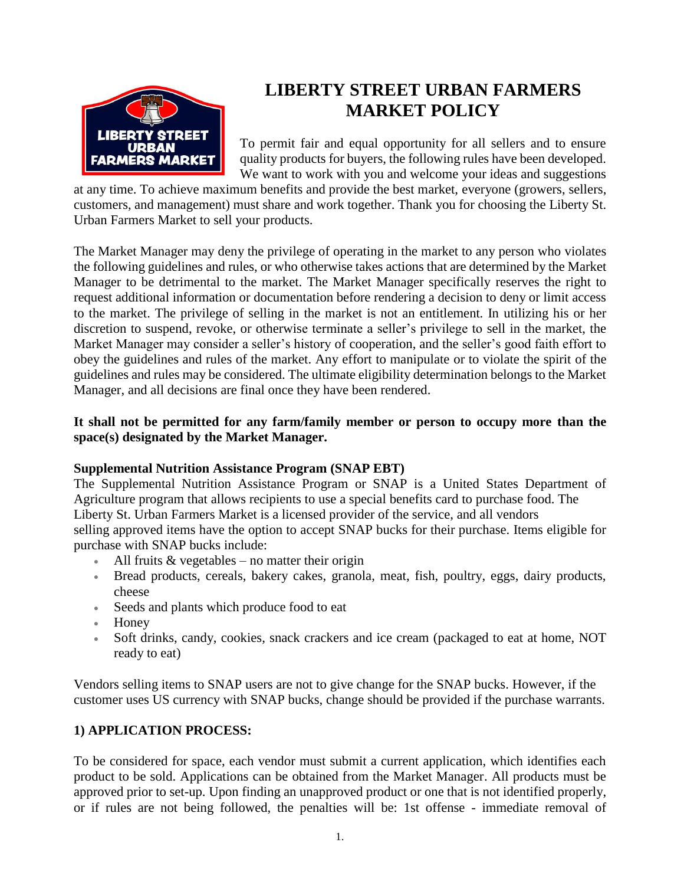

# **LIBERTY STREET URBAN FARMERS MARKET POLICY**

To permit fair and equal opportunity for all sellers and to ensure quality products for buyers, the following rules have been developed. We want to work with you and welcome your ideas and suggestions

at any time. To achieve maximum benefits and provide the best market, everyone (growers, sellers, customers, and management) must share and work together. Thank you for choosing the Liberty St. Urban Farmers Market to sell your products.

The Market Manager may deny the privilege of operating in the market to any person who violates the following guidelines and rules, or who otherwise takes actions that are determined by the Market Manager to be detrimental to the market. The Market Manager specifically reserves the right to request additional information or documentation before rendering a decision to deny or limit access to the market. The privilege of selling in the market is not an entitlement. In utilizing his or her discretion to suspend, revoke, or otherwise terminate a seller's privilege to sell in the market, the Market Manager may consider a seller's history of cooperation, and the seller's good faith effort to obey the guidelines and rules of the market. Any effort to manipulate or to violate the spirit of the guidelines and rules may be considered. The ultimate eligibility determination belongs to the Market Manager, and all decisions are final once they have been rendered.

## **It shall not be permitted for any farm/family member or person to occupy more than the space(s) designated by the Market Manager.**

### **Supplemental Nutrition Assistance Program (SNAP EBT)**

The Supplemental Nutrition Assistance Program or SNAP is a United States Department of Agriculture program that allows recipients to use a special benefits card to purchase food. The Liberty St. Urban Farmers Market is a licensed provider of the service, and all vendors selling approved items have the option to accept SNAP bucks for their purchase. Items eligible for purchase with SNAP bucks include:

- All fruits  $&$  vegetables no matter their origin
- Bread products, cereals, bakery cakes, granola, meat, fish, poultry, eggs, dairy products, cheese
- Seeds and plants which produce food to eat
- Honey
- Soft drinks, candy, cookies, snack crackers and ice cream (packaged to eat at home, NOT ready to eat)

Vendors selling items to SNAP users are not to give change for the SNAP bucks. However, if the customer uses US currency with SNAP bucks, change should be provided if the purchase warrants.

# **1) APPLICATION PROCESS:**

To be considered for space, each vendor must submit a current application, which identifies each product to be sold. Applications can be obtained from the Market Manager. All products must be approved prior to set-up. Upon finding an unapproved product or one that is not identified properly, or if rules are not being followed, the penalties will be: 1st offense - immediate removal of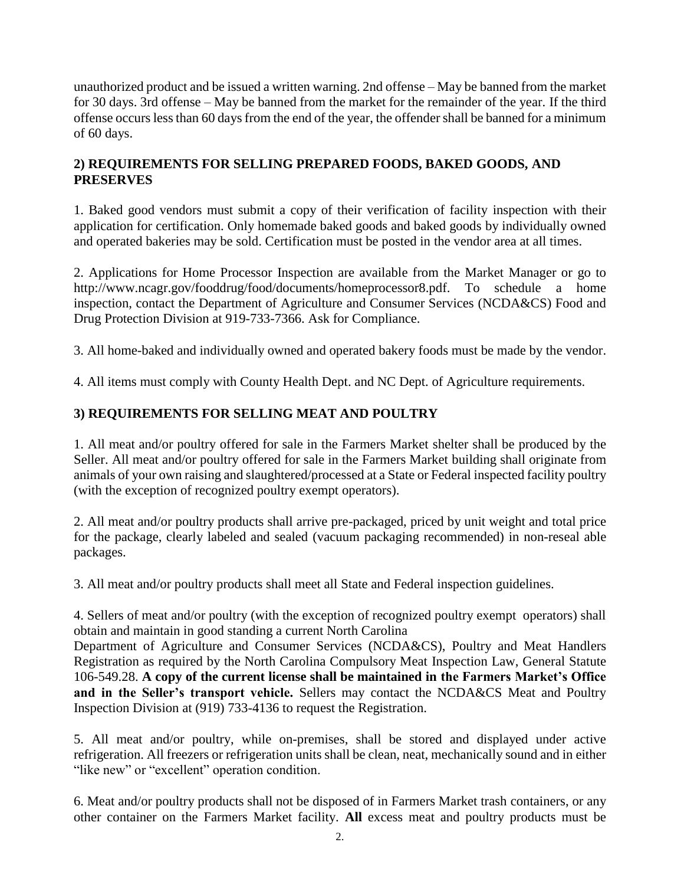unauthorized product and be issued a written warning. 2nd offense – May be banned from the market for 30 days. 3rd offense – May be banned from the market for the remainder of the year. If the third offense occurs less than 60 days from the end of the year, the offender shall be banned for a minimum of 60 days.

# **2) REQUIREMENTS FOR SELLING PREPARED FOODS, BAKED GOODS, AND PRESERVES**

1. Baked good vendors must submit a copy of their verification of facility inspection with their application for certification. Only homemade baked goods and baked goods by individually owned and operated bakeries may be sold. Certification must be posted in the vendor area at all times.

2. Applications for Home Processor Inspection are available from the Market Manager or go to http://www.ncagr.gov/fooddrug/food/documents/homeprocessor8.pdf. To schedule a home inspection, contact the Department of Agriculture and Consumer Services (NCDA&CS) Food and Drug Protection Division at 919-733-7366. Ask for Compliance.

3. All home-baked and individually owned and operated bakery foods must be made by the vendor.

4. All items must comply with County Health Dept. and NC Dept. of Agriculture requirements.

# **3) REQUIREMENTS FOR SELLING MEAT AND POULTRY**

1. All meat and/or poultry offered for sale in the Farmers Market shelter shall be produced by the Seller. All meat and/or poultry offered for sale in the Farmers Market building shall originate from animals of your own raising and slaughtered/processed at a State or Federal inspected facility poultry (with the exception of recognized poultry exempt operators).

2. All meat and/or poultry products shall arrive pre-packaged, priced by unit weight and total price for the package, clearly labeled and sealed (vacuum packaging recommended) in non-reseal able packages.

3. All meat and/or poultry products shall meet all State and Federal inspection guidelines.

4. Sellers of meat and/or poultry (with the exception of recognized poultry exempt operators) shall obtain and maintain in good standing a current North Carolina

Department of Agriculture and Consumer Services (NCDA&CS), Poultry and Meat Handlers Registration as required by the North Carolina Compulsory Meat Inspection Law, General Statute 106-549.28. **A copy of the current license shall be maintained in the Farmers Market's Office and in the Seller's transport vehicle.** Sellers may contact the NCDA&CS Meat and Poultry Inspection Division at (919) 733-4136 to request the Registration.

5. All meat and/or poultry, while on-premises, shall be stored and displayed under active refrigeration. All freezers or refrigeration units shall be clean, neat, mechanically sound and in either "like new" or "excellent" operation condition.

6. Meat and/or poultry products shall not be disposed of in Farmers Market trash containers, or any other container on the Farmers Market facility. **All** excess meat and poultry products must be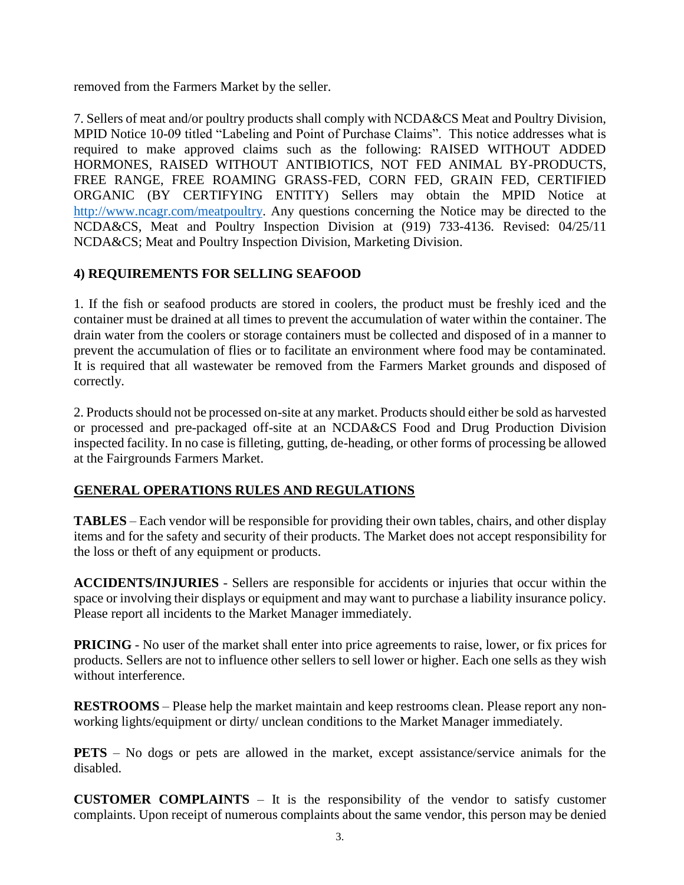removed from the Farmers Market by the seller.

7. Sellers of meat and/or poultry products shall comply with NCDA&CS Meat and Poultry Division, MPID Notice 10-09 titled "Labeling and Point of Purchase Claims". This notice addresses what is required to make approved claims such as the following: RAISED WITHOUT ADDED HORMONES, RAISED WITHOUT ANTIBIOTICS, NOT FED ANIMAL BY-PRODUCTS, FREE RANGE, FREE ROAMING GRASS-FED, CORN FED, GRAIN FED, CERTIFIED ORGANIC (BY CERTIFYING ENTITY) Sellers may obtain the MPID Notice at http://www.ncagr.com/meatpoultry. Any questions concerning the Notice may be directed to the NCDA&CS, Meat and Poultry Inspection Division at (919) 733-4136. Revised: 04/25/11 NCDA&CS; Meat and Poultry Inspection Division, Marketing Division.

# **4) REQUIREMENTS FOR SELLING SEAFOOD**

1. If the fish or seafood products are stored in coolers, the product must be freshly iced and the container must be drained at all times to prevent the accumulation of water within the container. The drain water from the coolers or storage containers must be collected and disposed of in a manner to prevent the accumulation of flies or to facilitate an environment where food may be contaminated. It is required that all wastewater be removed from the Farmers Market grounds and disposed of correctly.

2. Products should not be processed on-site at any market. Products should either be sold as harvested or processed and pre-packaged off-site at an NCDA&CS Food and Drug Production Division inspected facility. In no case is filleting, gutting, de-heading, or other forms of processing be allowed at the Fairgrounds Farmers Market.

### **GENERAL OPERATIONS RULES AND REGULATIONS**

**TABLES** – Each vendor will be responsible for providing their own tables, chairs, and other display items and for the safety and security of their products. The Market does not accept responsibility for the loss or theft of any equipment or products.

**ACCIDENTS/INJURIES** - Sellers are responsible for accidents or injuries that occur within the space or involving their displays or equipment and may want to purchase a liability insurance policy. Please report all incidents to the Market Manager immediately.

**PRICING** - No user of the market shall enter into price agreements to raise, lower, or fix prices for products. Sellers are not to influence other sellers to sell lower or higher. Each one sells as they wish without interference.

**RESTROOMS** – Please help the market maintain and keep restrooms clean. Please report any nonworking lights/equipment or dirty/ unclean conditions to the Market Manager immediately.

**PETS** – No dogs or pets are allowed in the market, except assistance/service animals for the disabled.

**CUSTOMER COMPLAINTS** – It is the responsibility of the vendor to satisfy customer complaints. Upon receipt of numerous complaints about the same vendor, this person may be denied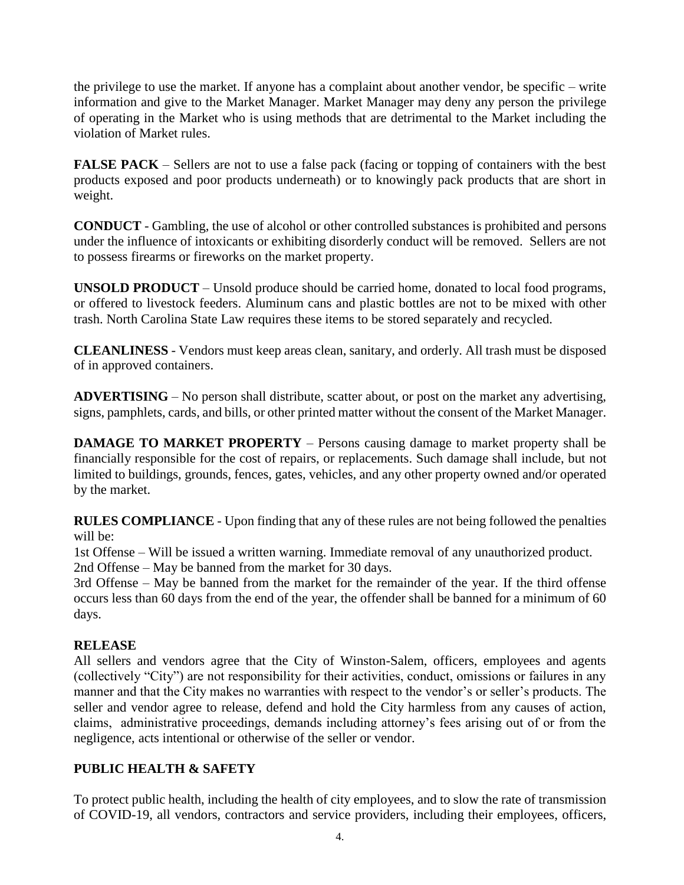the privilege to use the market. If anyone has a complaint about another vendor, be specific – write information and give to the Market Manager. Market Manager may deny any person the privilege of operating in the Market who is using methods that are detrimental to the Market including the violation of Market rules.

**FALSE PACK** – Sellers are not to use a false pack (facing or topping of containers with the best products exposed and poor products underneath) or to knowingly pack products that are short in weight.

**CONDUCT** - Gambling, the use of alcohol or other controlled substances is prohibited and persons under the influence of intoxicants or exhibiting disorderly conduct will be removed. Sellers are not to possess firearms or fireworks on the market property.

**UNSOLD PRODUCT** – Unsold produce should be carried home, donated to local food programs, or offered to livestock feeders. Aluminum cans and plastic bottles are not to be mixed with other trash. North Carolina State Law requires these items to be stored separately and recycled.

**CLEANLINESS** - Vendors must keep areas clean, sanitary, and orderly. All trash must be disposed of in approved containers.

**ADVERTISING** – No person shall distribute, scatter about, or post on the market any advertising, signs, pamphlets, cards, and bills, or other printed matter without the consent of the Market Manager.

**DAMAGE TO MARKET PROPERTY** – Persons causing damage to market property shall be financially responsible for the cost of repairs, or replacements. Such damage shall include, but not limited to buildings, grounds, fences, gates, vehicles, and any other property owned and/or operated by the market.

**RULES COMPLIANCE** - Upon finding that any of these rules are not being followed the penalties will be:

1st Offense – Will be issued a written warning. Immediate removal of any unauthorized product. 2nd Offense – May be banned from the market for 30 days.

3rd Offense – May be banned from the market for the remainder of the year. If the third offense occurs less than 60 days from the end of the year, the offender shall be banned for a minimum of 60 days.

# **RELEASE**

All sellers and vendors agree that the City of Winston-Salem, officers, employees and agents (collectively "City") are not responsibility for their activities, conduct, omissions or failures in any manner and that the City makes no warranties with respect to the vendor's or seller's products. The seller and vendor agree to release, defend and hold the City harmless from any causes of action, claims, administrative proceedings, demands including attorney's fees arising out of or from the negligence, acts intentional or otherwise of the seller or vendor.

# **PUBLIC HEALTH & SAFETY**

To protect public health, including the health of city employees, and to slow the rate of transmission of COVID-19, all vendors, contractors and service providers, including their employees, officers,